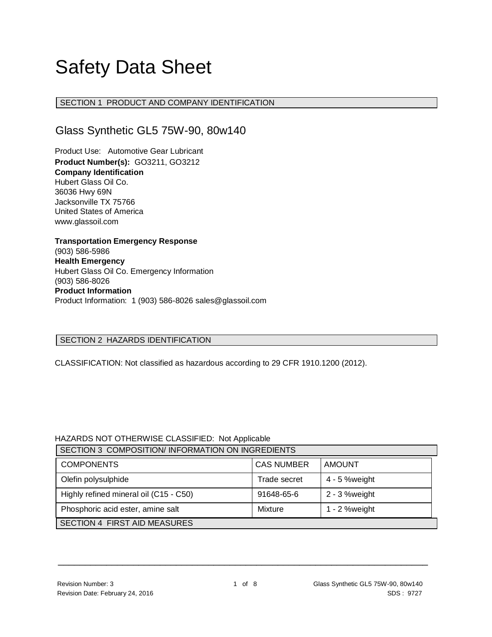# Safety Data Sheet

# SECTION 1 PRODUCT AND COMPANY IDENTIFICATION

# Glass Synthetic GL5 75W-90, 80w140

Product Use: Automotive Gear Lubricant **Product Number(s):** GO3211, GO3212 **Company Identification** Hubert Glass Oil Co. 36036 Hwy 69N Jacksonville TX 75766 United States of America www.glassoil.com

**Transportation Emergency Response** (903) 586-5986 **Health Emergency** Hubert Glass Oil Co. Emergency Information (903) 586-8026 **Product Information**  Product Information: 1 (903) 586-8026 sales@glassoil.com

#### SECTION 2 HAZARDS IDENTIFICATION

CLASSIFICATION: Not classified as hazardous according to 29 CFR 1910.1200 (2012).

#### HAZARDS NOT OTHERWISE CLASSIFIED: Not Applicable

| SECTION 3 COMPOSITION/INFORMATION ON INGREDIENTS |                   |                  |  |  |
|--------------------------------------------------|-------------------|------------------|--|--|
| <b>COMPONENTS</b>                                | <b>CAS NUMBER</b> | AMOUNT           |  |  |
| Olefin polysulphide                              | Trade secret      | 4 - 5 % weight   |  |  |
| Highly refined mineral oil (C15 - C50)           | 91648-65-6        | 2 - 3 %weight    |  |  |
| Phosphoric acid ester, amine salt                | Mixture           | 1 - $2$ % weight |  |  |
| SECTION 4 FIRST AID MEASURES                     |                   |                  |  |  |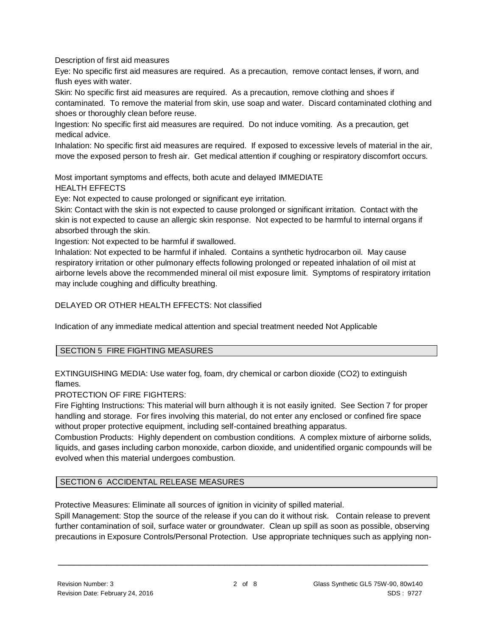Description of first aid measures

Eye: No specific first aid measures are required. As a precaution, remove contact lenses, if worn, and flush eyes with water.

Skin: No specific first aid measures are required. As a precaution, remove clothing and shoes if contaminated. To remove the material from skin, use soap and water. Discard contaminated clothing and shoes or thoroughly clean before reuse.

Ingestion: No specific first aid measures are required. Do not induce vomiting. As a precaution, get medical advice.

Inhalation: No specific first aid measures are required. If exposed to excessive levels of material in the air, move the exposed person to fresh air. Get medical attention if coughing or respiratory discomfort occurs.

Most important symptoms and effects, both acute and delayed IMMEDIATE HEALTH EFFECTS

Eye: Not expected to cause prolonged or significant eye irritation.

Skin: Contact with the skin is not expected to cause prolonged or significant irritation. Contact with the skin is not expected to cause an allergic skin response. Not expected to be harmful to internal organs if absorbed through the skin.

Ingestion: Not expected to be harmful if swallowed.

Inhalation: Not expected to be harmful if inhaled. Contains a synthetic hydrocarbon oil. May cause respiratory irritation or other pulmonary effects following prolonged or repeated inhalation of oil mist at airborne levels above the recommended mineral oil mist exposure limit. Symptoms of respiratory irritation may include coughing and difficulty breathing.

DELAYED OR OTHER HEALTH EFFECTS: Not classified

Indication of any immediate medical attention and special treatment needed Not Applicable

#### SECTION 5 FIRE FIGHTING MEASURES

EXTINGUISHING MEDIA: Use water fog, foam, dry chemical or carbon dioxide (CO2) to extinguish flames.

PROTECTION OF FIRE FIGHTERS:

Fire Fighting Instructions: This material will burn although it is not easily ignited. See Section 7 for proper handling and storage. For fires involving this material, do not enter any enclosed or confined fire space without proper protective equipment, including self-contained breathing apparatus.

Combustion Products: Highly dependent on combustion conditions. A complex mixture of airborne solids, liquids, and gases including carbon monoxide, carbon dioxide, and unidentified organic compounds will be evolved when this material undergoes combustion.

# SECTION 6 ACCIDENTAL RELEASE MEASURES

Protective Measures: Eliminate all sources of ignition in vicinity of spilled material.

Spill Management: Stop the source of the release if you can do it without risk. Contain release to prevent further contamination of soil, surface water or groundwater. Clean up spill as soon as possible, observing precautions in Exposure Controls/Personal Protection. Use appropriate techniques such as applying non-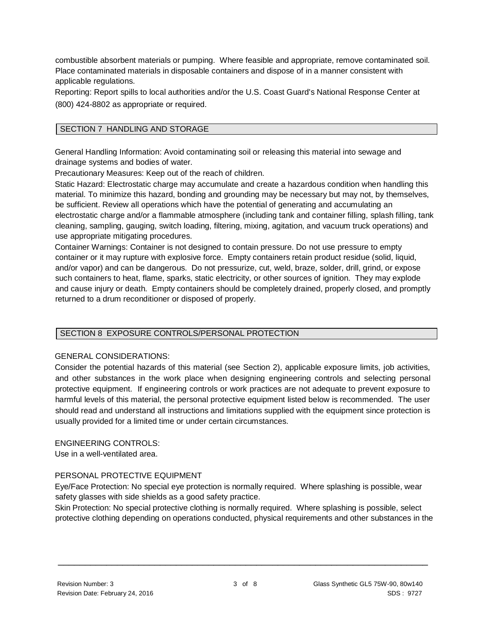combustible absorbent materials or pumping. Where feasible and appropriate, remove contaminated soil. Place contaminated materials in disposable containers and dispose of in a manner consistent with applicable regulations.

Reporting: Report spills to local authorities and/or the U.S. Coast Guard's National Response Center at (800) 424-8802 as appropriate or required.

### SECTION 7 HANDLING AND STORAGE

General Handling Information: Avoid contaminating soil or releasing this material into sewage and drainage systems and bodies of water.

Precautionary Measures: Keep out of the reach of children.

Static Hazard: Electrostatic charge may accumulate and create a hazardous condition when handling this material. To minimize this hazard, bonding and grounding may be necessary but may not, by themselves, be sufficient. Review all operations which have the potential of generating and accumulating an electrostatic charge and/or a flammable atmosphere (including tank and container filling, splash filling, tank cleaning, sampling, gauging, switch loading, filtering, mixing, agitation, and vacuum truck operations) and use appropriate mitigating procedures.

Container Warnings: Container is not designed to contain pressure. Do not use pressure to empty container or it may rupture with explosive force. Empty containers retain product residue (solid, liquid, and/or vapor) and can be dangerous. Do not pressurize, cut, weld, braze, solder, drill, grind, or expose such containers to heat, flame, sparks, static electricity, or other sources of ignition. They may explode and cause injury or death. Empty containers should be completely drained, properly closed, and promptly returned to a drum reconditioner or disposed of properly.

#### SECTION 8 EXPOSURE CONTROLS/PERSONAL PROTECTION

#### GENERAL CONSIDERATIONS:

Consider the potential hazards of this material (see Section 2), applicable exposure limits, job activities, and other substances in the work place when designing engineering controls and selecting personal protective equipment. If engineering controls or work practices are not adequate to prevent exposure to harmful levels of this material, the personal protective equipment listed below is recommended. The user should read and understand all instructions and limitations supplied with the equipment since protection is usually provided for a limited time or under certain circumstances.

#### ENGINEERING CONTROLS:

Use in a well-ventilated area.

#### PERSONAL PROTECTIVE EQUIPMENT

Eye/Face Protection: No special eye protection is normally required. Where splashing is possible, wear safety glasses with side shields as a good safety practice.

Skin Protection: No special protective clothing is normally required. Where splashing is possible, select protective clothing depending on operations conducted, physical requirements and other substances in the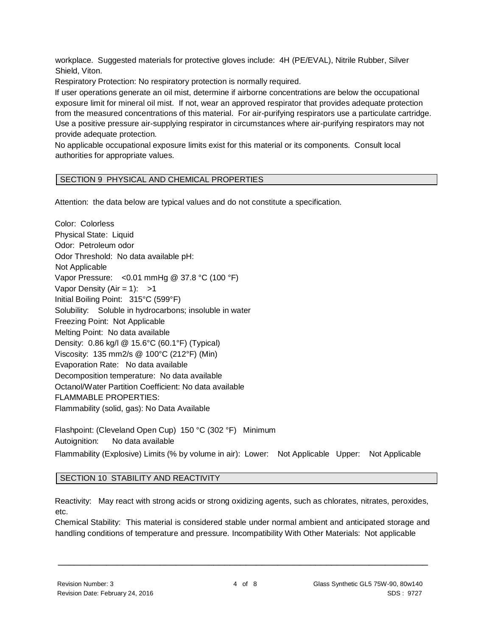workplace. Suggested materials for protective gloves include: 4H (PE/EVAL), Nitrile Rubber, Silver Shield, Viton.

Respiratory Protection: No respiratory protection is normally required.

If user operations generate an oil mist, determine if airborne concentrations are below the occupational exposure limit for mineral oil mist. If not, wear an approved respirator that provides adequate protection from the measured concentrations of this material. For air-purifying respirators use a particulate cartridge. Use a positive pressure air-supplying respirator in circumstances where air-purifying respirators may not provide adequate protection.

No applicable occupational exposure limits exist for this material or its components. Consult local authorities for appropriate values.

# SECTION 9 PHYSICAL AND CHEMICAL PROPERTIES

Attention: the data below are typical values and do not constitute a specification.

Color: Colorless Physical State: Liquid Odor: Petroleum odor Odor Threshold: No data available pH: Not Applicable Vapor Pressure: <0.01 mmHg @ 37.8 °C (100 °F) Vapor Density (Air = 1):  $>1$ Initial Boiling Point: 315°C (599°F) Solubility: Soluble in hydrocarbons; insoluble in water Freezing Point: Not Applicable Melting Point: No data available Density: 0.86 kg/l @ 15.6°C (60.1°F) (Typical) Viscosity: 135 mm2/s @ 100°C (212°F) (Min) Evaporation Rate: No data available Decomposition temperature: No data available Octanol/Water Partition Coefficient: No data available FLAMMABLE PROPERTIES: Flammability (solid, gas): No Data Available Flashpoint: (Cleveland Open Cup) 150 °C (302 °F) Minimum

Autoignition: No data available Flammability (Explosive) Limits (% by volume in air): Lower: Not Applicable Upper: Not Applicable

#### SECTION 10 STABILITY AND REACTIVITY

Reactivity: May react with strong acids or strong oxidizing agents, such as chlorates, nitrates, peroxides, etc.

Chemical Stability: This material is considered stable under normal ambient and anticipated storage and handling conditions of temperature and pressure. Incompatibility With Other Materials: Not applicable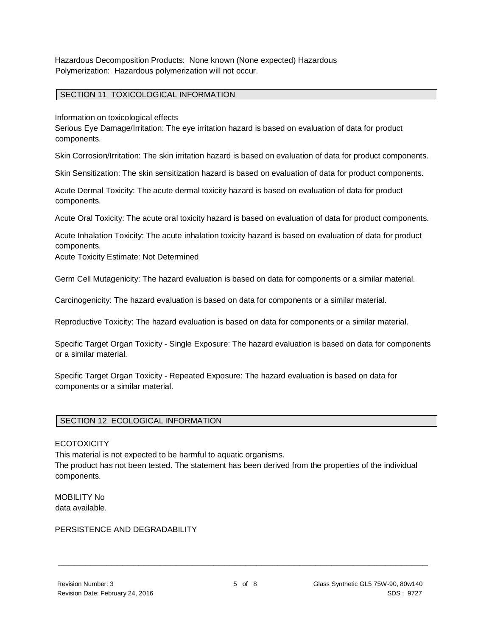Hazardous Decomposition Products: None known (None expected) Hazardous Polymerization: Hazardous polymerization will not occur.

#### SECTION 11 TOXICOLOGICAL INFORMATION

Information on toxicological effects

Serious Eye Damage/Irritation: The eye irritation hazard is based on evaluation of data for product components.

Skin Corrosion/Irritation: The skin irritation hazard is based on evaluation of data for product components.

Skin Sensitization: The skin sensitization hazard is based on evaluation of data for product components.

Acute Dermal Toxicity: The acute dermal toxicity hazard is based on evaluation of data for product components.

Acute Oral Toxicity: The acute oral toxicity hazard is based on evaluation of data for product components.

Acute Inhalation Toxicity: The acute inhalation toxicity hazard is based on evaluation of data for product components.

Acute Toxicity Estimate: Not Determined

Germ Cell Mutagenicity: The hazard evaluation is based on data for components or a similar material.

Carcinogenicity: The hazard evaluation is based on data for components or a similar material.

Reproductive Toxicity: The hazard evaluation is based on data for components or a similar material.

Specific Target Organ Toxicity - Single Exposure: The hazard evaluation is based on data for components or a similar material.

Specific Target Organ Toxicity - Repeated Exposure: The hazard evaluation is based on data for components or a similar material.

# SECTION 12 ECOLOGICAL INFORMATION

#### **ECOTOXICITY**

This material is not expected to be harmful to aquatic organisms.

The product has not been tested. The statement has been derived from the properties of the individual components.

MOBILITY No data available.

#### PERSISTENCE AND DEGRADABILITY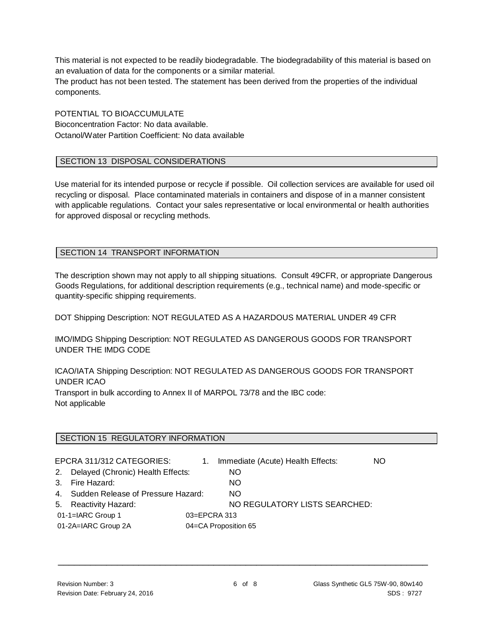This material is not expected to be readily biodegradable. The biodegradability of this material is based on an evaluation of data for the components or a similar material.

The product has not been tested. The statement has been derived from the properties of the individual components.

POTENTIAL TO BIOACCUMULATE Bioconcentration Factor: No data available. Octanol/Water Partition Coefficient: No data available

#### SECTION 13 DISPOSAL CONSIDERATIONS

Use material for its intended purpose or recycle if possible. Oil collection services are available for used oil recycling or disposal. Place contaminated materials in containers and dispose of in a manner consistent with applicable regulations. Contact your sales representative or local environmental or health authorities for approved disposal or recycling methods.

# SECTION 14 TRANSPORT INFORMATION

The description shown may not apply to all shipping situations. Consult 49CFR, or appropriate Dangerous Goods Regulations, for additional description requirements (e.g., technical name) and mode-specific or quantity-specific shipping requirements.

DOT Shipping Description: NOT REGULATED AS A HAZARDOUS MATERIAL UNDER 49 CFR

IMO/IMDG Shipping Description: NOT REGULATED AS DANGEROUS GOODS FOR TRANSPORT UNDER THE IMDG CODE

ICAO/IATA Shipping Description: NOT REGULATED AS DANGEROUS GOODS FOR TRANSPORT UNDER ICAO

Transport in bulk according to Annex II of MARPOL 73/78 and the IBC code: Not applicable

#### SECTION 15 REGULATORY INFORMATION

|                                             | EPCRA 311/312 CATEGORIES:             | 1.           | Immediate (Acute) Health Effects: | NO. |
|---------------------------------------------|---------------------------------------|--------------|-----------------------------------|-----|
|                                             | 2. Delayed (Chronic) Health Effects:  |              | NO.                               |     |
|                                             | 3. Fire Hazard:                       |              | NO.                               |     |
|                                             | 4. Sudden Release of Pressure Hazard: |              | NO.                               |     |
|                                             | 5. Reactivity Hazard:                 |              | NO REGULATORY LISTS SEARCHED:     |     |
|                                             | 01-1=IARC Group 1                     | 03=EPCRA 313 |                                   |     |
| 01-2A=IARC Group 2A<br>04=CA Proposition 65 |                                       |              |                                   |     |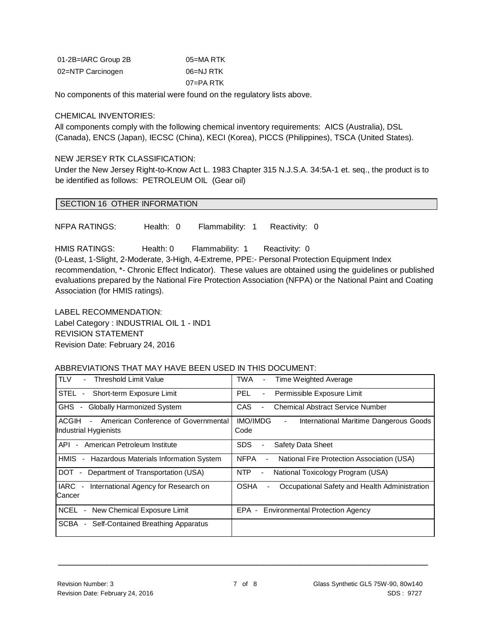| 01-2B=IARC Group 2B | 05=MA RTK |
|---------------------|-----------|
| 02=NTP Carcinogen   | 06=NJ RTK |
|                     | 07=PA RTK |

No components of this material were found on the regulatory lists above.

#### CHEMICAL INVENTORIES:

All components comply with the following chemical inventory requirements: AICS (Australia), DSL (Canada), ENCS (Japan), IECSC (China), KECI (Korea), PICCS (Philippines), TSCA (United States).

#### NEW JERSEY RTK CLASSIFICATION:

Under the New Jersey Right-to-Know Act L. 1983 Chapter 315 N.J.S.A. 34:5A-1 et. seq., the product is to be identified as follows: PETROLEUM OIL (Gear oil)

#### SECTION 16 OTHER INFORMATION

NFPA RATINGS: Health: 0 Flammability: 1 Reactivity: 0

HMIS RATINGS: Health: 0 Flammability: 1 Reactivity: 0

(0-Least, 1-Slight, 2-Moderate, 3-High, 4-Extreme, PPE:- Personal Protection Equipment Index recommendation, \*- Chronic Effect Indicator). These values are obtained using the guidelines or published evaluations prepared by the National Fire Protection Association (NFPA) or the National Paint and Coating Association (for HMIS ratings).

LABEL RECOMMENDATION: Label Category : INDUSTRIAL OIL 1 - IND1 REVISION STATEMENT Revision Date: February 24, 2016

#### ABBREVIATIONS THAT MAY HAVE BEEN USED IN THIS DOCUMENT:

| TLV<br>Threshold Limit Value                                                    | TWA<br>Time Weighted Average<br>$\overline{\phantom{a}}$                            |
|---------------------------------------------------------------------------------|-------------------------------------------------------------------------------------|
| STEL<br>Short-term Exposure Limit<br>$\overline{\phantom{a}}$                   | Permissible Exposure Limit<br>PEL.<br>$\overline{\phantom{a}}$                      |
| <b>GHS</b><br><b>Globally Harmonized System</b><br>$\sim$                       | <b>CAS</b><br><b>Chemical Abstract Service Number</b>                               |
| ACGIH<br>American Conference of Governmental<br>$\sim$<br>Industrial Hygienists | <b>IMO/IMDG</b><br>International Maritime Dangerous Goods<br>$\blacksquare$<br>Code |
| American Petroleum Institute<br>API<br>$\sim$                                   | Safety Data Sheet<br><b>SDS</b><br>۰                                                |
| HMIS<br>Hazardous Materials Information System<br>$\blacksquare$                | <b>NFPA</b><br>National Fire Protection Association (USA)<br>$\blacksquare$         |
| <b>DOT</b><br>Department of Transportation (USA)<br>$\sim$                      | <b>NTP</b><br>National Toxicology Program (USA)                                     |
| <b>IARC</b><br>International Agency for Research on<br>$\blacksquare$<br>Cancer | <b>OSHA</b><br>Occupational Safety and Health Administration                        |
| <b>NCEL</b><br>New Chemical Exposure Limit<br>$\blacksquare$                    | EPA - Environmental Protection Agency                                               |
| <b>SCBA</b><br>Self-Contained Breathing Apparatus<br>$\sim$                     |                                                                                     |